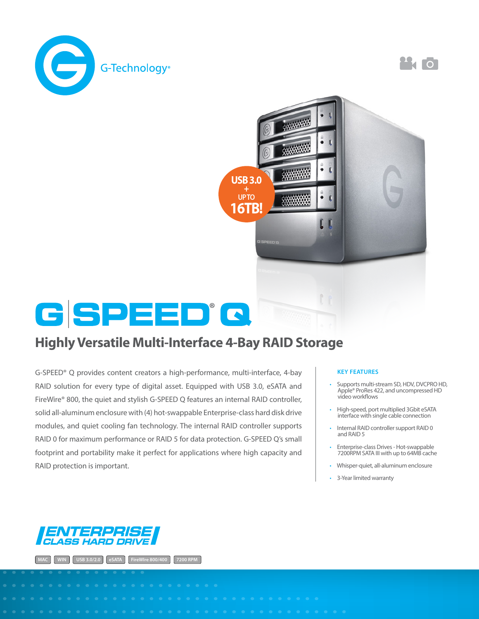

 $\mathbf{A}$  of



## Highly Versatile Multi-Interface 4-Bay RAID Storage

G-SPEED® Q provides content creators a high-performance, multi-interface, 4-bay RAID solution for every type of digital asset. Equipped with USB 3.0, eSATA and FireWire® 800, the quiet and stylish G-SPEED Q features an internal RAID controller, solid all-aluminum enclosure with (4) hot-swappable Enterprise-class hard disk drive modules, and quiet cooling fan technology. The internal RAID controller supports RAID 0 for maximum performance or RAID 5 for data protection. G-SPEED Q's small footprint and portability make it perfect for applications where high capacity and RAID protection is important.

## **KEY FEATURES**

- Supports multi-stream SD, HDV, DVCPRO HD, Apple® ProRes 422, and uncompressed HD video workflows
- High-speed, port multiplied 3Gbit eSATA interface with single cable connection
- Internal RAID controller support RAID 0 and RAID 5
- Enterprise-class Drives Hot-swappable 7200RPM SATA III with up to 64MB cache
- Whisper-quiet, all-aluminum enclosure
- 3-Year limited warranty



**MAC WINCIPE 3.0/2.0 eSATA FireWIre 800/400**